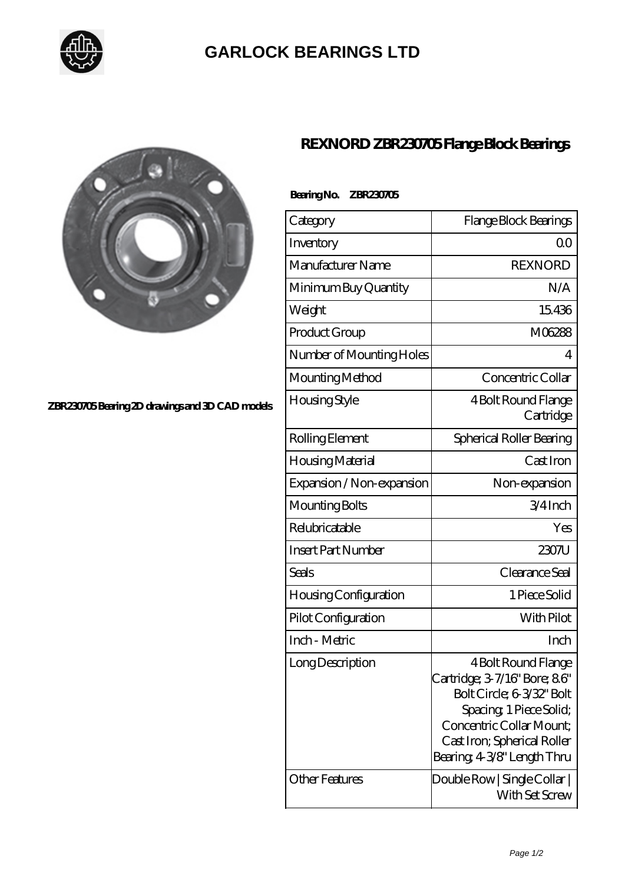

# **[GARLOCK BEARINGS LTD](https://m.letterstopriests.com)**



## **[ZBR230705 Bearing 2D drawings and 3D CAD models](https://m.letterstopriests.com/pic-188587.html)**

## **[REXNORD ZBR230705 Flange Block Bearings](https://m.letterstopriests.com/af-188587-rexnord-zbr230705-flange-block-bearings.html)**

## **Bearing No. ZBR230705**

| Category                                  | Flange Block Bearings                                                                                                                                                                                                              |
|-------------------------------------------|------------------------------------------------------------------------------------------------------------------------------------------------------------------------------------------------------------------------------------|
| Inventory                                 | Q0                                                                                                                                                                                                                                 |
| Manufacturer Name                         | <b>REXNORD</b>                                                                                                                                                                                                                     |
| Minimum Buy Quantity                      | N/A                                                                                                                                                                                                                                |
| Weight                                    | 15436                                                                                                                                                                                                                              |
| Product Group                             | M06288                                                                                                                                                                                                                             |
| Number of Mounting Holes                  | 4                                                                                                                                                                                                                                  |
| Mounting Method                           | Concentric Collar                                                                                                                                                                                                                  |
| Housing Style                             | 4 Bolt Round Flange<br>Cartridge                                                                                                                                                                                                   |
| Rolling Element                           | Spherical Roller Bearing                                                                                                                                                                                                           |
| Housing Material                          | Cast Iron                                                                                                                                                                                                                          |
| Expansion / Non-expansion                 | Non-expansion                                                                                                                                                                                                                      |
| Mounting Bolts                            | $3/4$ Inch                                                                                                                                                                                                                         |
| Relubricatable                            | Yes                                                                                                                                                                                                                                |
| <b>Insert Part Number</b>                 | 2307U                                                                                                                                                                                                                              |
| Seals                                     | Clearance Seal                                                                                                                                                                                                                     |
| <b>Housing Configuration</b>              | 1 Piece Solid                                                                                                                                                                                                                      |
| Pilot Configuration                       | With Pilot                                                                                                                                                                                                                         |
| Inch - Metric                             | Inch                                                                                                                                                                                                                               |
| Long Description<br><b>Other Features</b> | 4 Bolt Round Flange<br>Cartridge; 3-7/16" Bore; 86"<br>Bolt Circle; 6-3/32" Bolt<br>Spacing, 1 Piece Solid;<br>Concentric Collar Mount:<br>Cast Iron; Spherical Roller<br>Bearing 4-3⁄8" Length Thru<br>Double Row   Single Collar |
|                                           | With Set Screw                                                                                                                                                                                                                     |